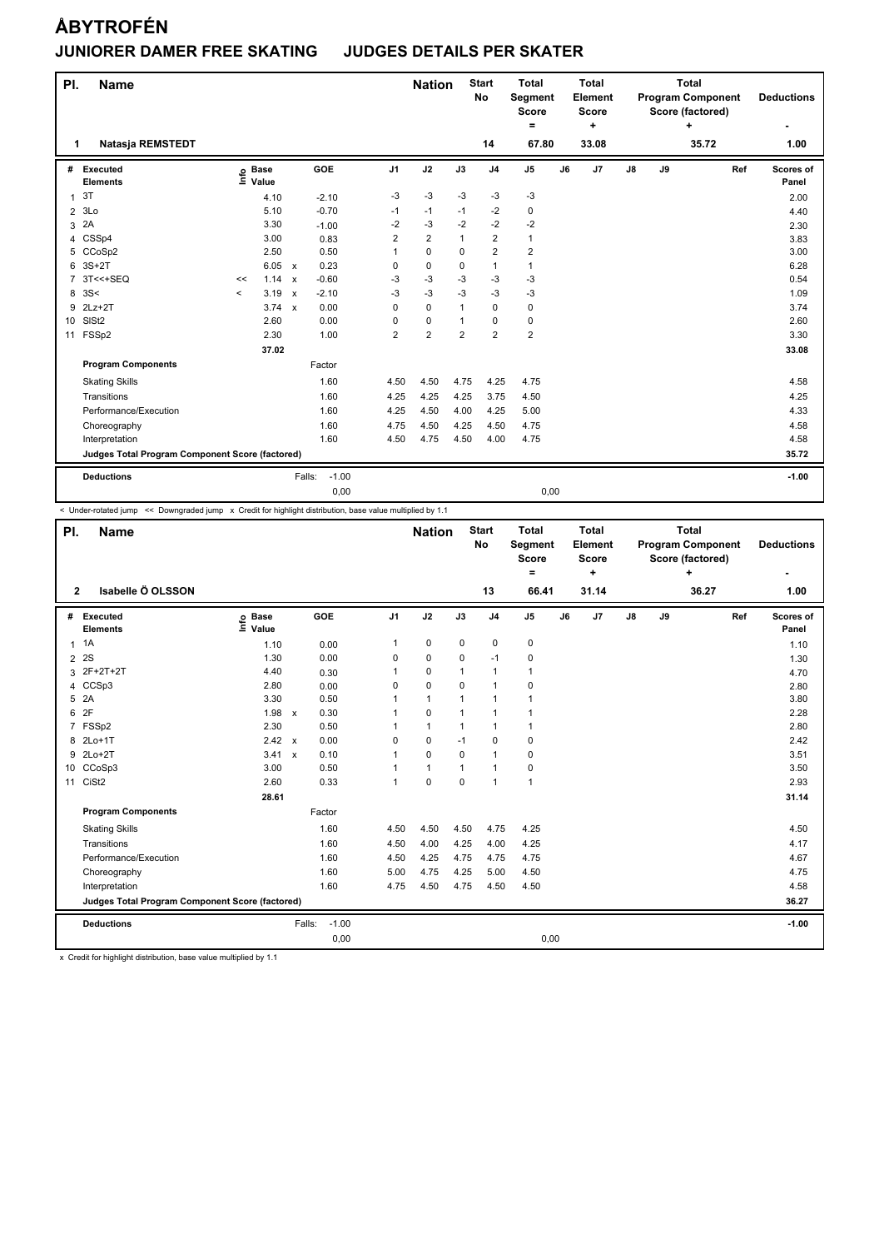| PI.            | <b>Name</b>                                     |         |                      |                           |                   |                | <b>Nation</b>  |                | <b>Start</b><br><b>No</b> | <b>Total</b><br>Segment<br><b>Score</b><br>$=$ |    | <b>Total</b><br><b>Element</b><br><b>Score</b><br>÷ |    |    | <b>Total</b><br><b>Program Component</b><br>Score (factored)<br>÷ |     | <b>Deductions</b>         |
|----------------|-------------------------------------------------|---------|----------------------|---------------------------|-------------------|----------------|----------------|----------------|---------------------------|------------------------------------------------|----|-----------------------------------------------------|----|----|-------------------------------------------------------------------|-----|---------------------------|
| 1              | Natasja REMSTEDT                                |         |                      |                           |                   |                |                |                | 14                        | 67.80                                          |    | 33.08                                               |    |    | 35.72                                                             |     | 1.00                      |
| #              | Executed<br><b>Elements</b>                     | ١nf٥    | <b>Base</b><br>Value |                           | GOE               | J <sub>1</sub> | J2             | J3             | J <sub>4</sub>            | J <sub>5</sub>                                 | J6 | J7                                                  | J8 | J9 |                                                                   | Ref | <b>Scores of</b><br>Panel |
| $\mathbf{1}$   | 3T                                              |         | 4.10                 |                           | $-2.10$           | -3             | $-3$           | $-3$           | $-3$                      | $-3$                                           |    |                                                     |    |    |                                                                   |     | 2.00                      |
| $\overline{2}$ | 3Lo                                             |         | 5.10                 |                           | $-0.70$           | $-1$           | $-1$           | $-1$           | $-2$                      | 0                                              |    |                                                     |    |    |                                                                   |     | 4.40                      |
| 3              | 2A                                              |         | 3.30                 |                           | $-1.00$           | -2             | $-3$           | $-2$           | $-2$                      | $-2$                                           |    |                                                     |    |    |                                                                   |     | 2.30                      |
| 4              | CSSp4                                           |         | 3.00                 |                           | 0.83              | 2              | $\overline{2}$ | $\mathbf{1}$   | $\overline{2}$            | 1                                              |    |                                                     |    |    |                                                                   |     | 3.83                      |
| 5              | CCoSp2                                          |         | 2.50                 |                           | 0.50              |                | $\mathbf 0$    | $\mathbf 0$    | $\overline{2}$            | $\overline{2}$                                 |    |                                                     |    |    |                                                                   |     | 3.00                      |
| 6              | $3S+2T$                                         |         | 6.05                 | $\mathsf{x}$              | 0.23              | 0              | $\pmb{0}$      | 0              | $\mathbf{1}$              | 1                                              |    |                                                     |    |    |                                                                   |     | 6.28                      |
| 7              | 3T<<+SEQ                                        | <<      | 1.14                 | $\boldsymbol{\mathsf{x}}$ | $-0.60$           | -3             | $-3$           | $-3$           | $-3$                      | -3                                             |    |                                                     |    |    |                                                                   |     | 0.54                      |
| 8              | 3S<                                             | $\prec$ | 3.19                 | $\boldsymbol{\mathsf{x}}$ | $-2.10$           | -3             | $-3$           | $-3$           | $-3$                      | $-3$                                           |    |                                                     |    |    |                                                                   |     | 1.09                      |
| 9              | $2Lz+2T$                                        |         | $3.74 \times$        |                           | 0.00              | 0              | $\mathbf 0$    | 1              | $\mathbf 0$               | $\mathbf 0$                                    |    |                                                     |    |    |                                                                   |     | 3.74                      |
| 10             | SISt <sub>2</sub>                               |         | 2.60                 |                           | 0.00              | 0              | $\pmb{0}$      | 1              | 0                         | 0                                              |    |                                                     |    |    |                                                                   |     | 2.60                      |
| 11             | FSSp2                                           |         | 2.30                 |                           | 1.00              | $\overline{2}$ | $\overline{2}$ | $\overline{2}$ | $\overline{2}$            | $\overline{2}$                                 |    |                                                     |    |    |                                                                   |     | 3.30                      |
|                |                                                 |         | 37.02                |                           |                   |                |                |                |                           |                                                |    |                                                     |    |    |                                                                   |     | 33.08                     |
|                | <b>Program Components</b>                       |         |                      |                           | Factor            |                |                |                |                           |                                                |    |                                                     |    |    |                                                                   |     |                           |
|                | <b>Skating Skills</b>                           |         |                      |                           | 1.60              | 4.50           | 4.50           | 4.75           | 4.25                      | 4.75                                           |    |                                                     |    |    |                                                                   |     | 4.58                      |
|                | Transitions                                     |         |                      |                           | 1.60              | 4.25           | 4.25           | 4.25           | 3.75                      | 4.50                                           |    |                                                     |    |    |                                                                   |     | 4.25                      |
|                | Performance/Execution                           |         |                      |                           | 1.60              | 4.25           | 4.50           | 4.00           | 4.25                      | 5.00                                           |    |                                                     |    |    |                                                                   |     | 4.33                      |
|                | Choreography                                    |         |                      |                           | 1.60              | 4.75           | 4.50           | 4.25           | 4.50                      | 4.75                                           |    |                                                     |    |    |                                                                   |     | 4.58                      |
|                | Interpretation                                  |         |                      |                           | 1.60              | 4.50           | 4.75           | 4.50           | 4.00                      | 4.75                                           |    |                                                     |    |    |                                                                   |     | 4.58                      |
|                | Judges Total Program Component Score (factored) |         |                      |                           |                   |                |                |                |                           |                                                |    |                                                     |    |    |                                                                   |     | 35.72                     |
|                | <b>Deductions</b>                               |         |                      |                           | $-1.00$<br>Falls: |                |                |                |                           |                                                |    |                                                     |    |    |                                                                   |     | $-1.00$                   |
|                |                                                 |         |                      |                           | 0,00              |                |                |                |                           | 0,00                                           |    |                                                     |    |    |                                                                   |     |                           |

-<br>< Under-rotated jump << Downgraded jump x Credit for highlight distribution, base value multiplied by 1.1

| PI.            | <b>Name</b>                                     |                            |                                   |                | <b>Nation</b> |              | <b>Start</b><br>No | <b>Total</b><br>Segment<br><b>Score</b><br>= |    | <b>Total</b><br>Element<br><b>Score</b><br>÷ |               |    | <b>Total</b><br><b>Program Component</b><br>Score (factored)<br>÷ |     | <b>Deductions</b>  |
|----------------|-------------------------------------------------|----------------------------|-----------------------------------|----------------|---------------|--------------|--------------------|----------------------------------------------|----|----------------------------------------------|---------------|----|-------------------------------------------------------------------|-----|--------------------|
| $\overline{2}$ | Isabelle Ö OLSSON                               |                            |                                   |                |               |              | 13                 | 66.41                                        |    | 31.14                                        |               |    | 36.27                                                             |     | 1.00               |
|                | # Executed<br><b>Elements</b>                   | <b>Base</b><br>۴ů<br>Value | <b>GOE</b>                        | J <sub>1</sub> | J2            | J3           | J <sub>4</sub>     | J <sub>5</sub>                               | J6 | J7                                           | $\mathsf{J}8$ | J9 |                                                                   | Ref | Scores of<br>Panel |
|                | $1 \t1A$                                        | 1.10                       | 0.00                              | 1              | $\mathbf 0$   | $\mathbf 0$  | $\mathbf 0$        | 0                                            |    |                                              |               |    |                                                                   |     | 1.10               |
|                | 2 2 S                                           | 1.30                       | 0.00                              | 0              | $\mathbf 0$   | $\mathbf 0$  | $-1$               | $\pmb{0}$                                    |    |                                              |               |    |                                                                   |     | 1.30               |
|                | 3 2F+2T+2T                                      | 4.40                       | 0.30                              | 1              | $\mathbf 0$   | 1            | $\mathbf{1}$       | $\mathbf{1}$                                 |    |                                              |               |    |                                                                   |     | 4.70               |
|                | 4 CCSp3                                         | 2.80                       | 0.00                              | $\Omega$       | $\Omega$      | $\Omega$     | $\mathbf{1}$       | 0                                            |    |                                              |               |    |                                                                   |     | 2.80               |
|                | 5 2A                                            | 3.30                       | 0.50                              |                | $\mathbf{1}$  | $\mathbf 1$  | $\mathbf{1}$       | $\mathbf{1}$                                 |    |                                              |               |    |                                                                   |     | 3.80               |
| 6              | 2F                                              | 1.98                       | 0.30<br>$\boldsymbol{\mathsf{x}}$ | 1              | $\mathbf 0$   | $\mathbf{1}$ | $\mathbf{1}$       | $\mathbf{1}$                                 |    |                                              |               |    |                                                                   |     | 2.28               |
|                | 7 FSSp2                                         | 2.30                       | 0.50                              |                | $\mathbf{1}$  | 1            | $\mathbf{1}$       | $\mathbf{1}$                                 |    |                                              |               |    |                                                                   |     | 2.80               |
|                | 8 2Lo+1T                                        | $2.42 \times$              | 0.00                              | $\Omega$       | $\Omega$      | $-1$         | $\mathbf 0$        | 0                                            |    |                                              |               |    |                                                                   |     | 2.42               |
| 9              | $2Lo+2T$                                        | 3.41 x                     | 0.10                              |                | $\mathbf 0$   | $\mathbf 0$  | $\mathbf{1}$       | $\pmb{0}$                                    |    |                                              |               |    |                                                                   |     | 3.51               |
|                | 10 CCoSp3                                       | 3.00                       | 0.50                              |                | $\mathbf{1}$  | $\mathbf{1}$ | $\mathbf{1}$       | 0                                            |    |                                              |               |    |                                                                   |     | 3.50               |
|                | 11 CiSt2                                        | 2.60                       | 0.33                              | $\overline{1}$ | $\mathbf 0$   | $\mathbf 0$  | $\mathbf{1}$       | $\mathbf{1}$                                 |    |                                              |               |    |                                                                   |     | 2.93               |
|                |                                                 | 28.61                      |                                   |                |               |              |                    |                                              |    |                                              |               |    |                                                                   |     | 31.14              |
|                | <b>Program Components</b>                       |                            | Factor                            |                |               |              |                    |                                              |    |                                              |               |    |                                                                   |     |                    |
|                | <b>Skating Skills</b>                           |                            | 1.60                              | 4.50           | 4.50          | 4.50         | 4.75               | 4.25                                         |    |                                              |               |    |                                                                   |     | 4.50               |
|                | Transitions                                     |                            | 1.60                              | 4.50           | 4.00          | 4.25         | 4.00               | 4.25                                         |    |                                              |               |    |                                                                   |     | 4.17               |
|                | Performance/Execution                           |                            | 1.60                              | 4.50           | 4.25          | 4.75         | 4.75               | 4.75                                         |    |                                              |               |    |                                                                   |     | 4.67               |
|                | Choreography                                    |                            | 1.60                              | 5.00           | 4.75          | 4.25         | 5.00               | 4.50                                         |    |                                              |               |    |                                                                   |     | 4.75               |
|                | Interpretation                                  |                            | 1.60                              | 4.75           | 4.50          | 4.75         | 4.50               | 4.50                                         |    |                                              |               |    |                                                                   |     | 4.58               |
|                | Judges Total Program Component Score (factored) |                            |                                   |                |               |              |                    |                                              |    |                                              |               |    |                                                                   |     | 36.27              |
|                | <b>Deductions</b>                               |                            | $-1.00$<br>Falls:                 |                |               |              |                    |                                              |    |                                              |               |    |                                                                   |     | $-1.00$            |
|                |                                                 |                            | 0,00                              |                |               |              |                    | 0,00                                         |    |                                              |               |    |                                                                   |     |                    |

x Credit for highlight distribution, base value multiplied by 1.1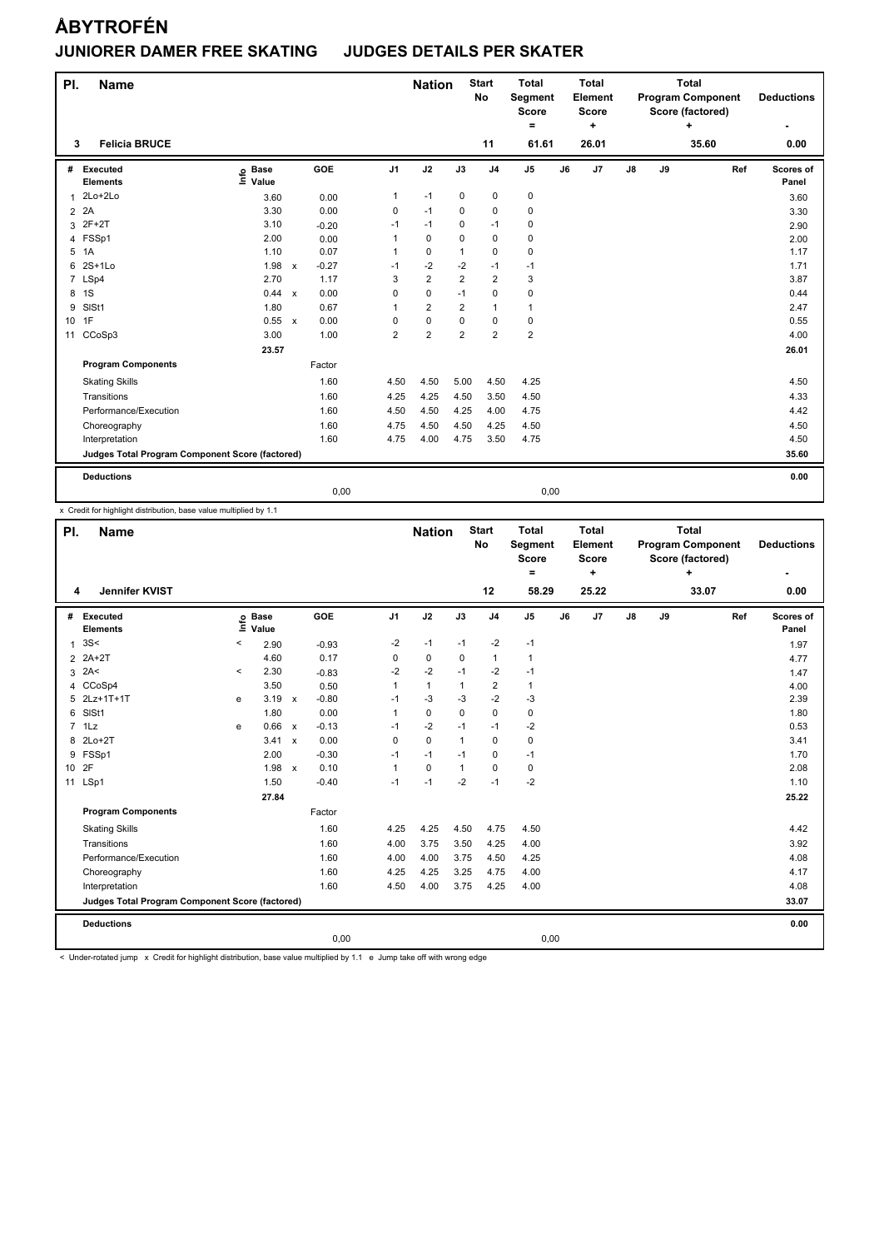| PI.            | <b>Name</b>                                     |                              |              |         |                | <b>Nation</b>  |                | <b>Start</b><br><b>No</b> | <b>Total</b><br>Segment<br><b>Score</b><br>۰ |    | <b>Total</b><br>Element<br><b>Score</b><br>٠ |               |    | <b>Total</b><br><b>Program Component</b><br>Score (factored)<br>÷ |     | <b>Deductions</b>  |
|----------------|-------------------------------------------------|------------------------------|--------------|---------|----------------|----------------|----------------|---------------------------|----------------------------------------------|----|----------------------------------------------|---------------|----|-------------------------------------------------------------------|-----|--------------------|
| 3              | <b>Felicia BRUCE</b>                            |                              |              |         |                |                |                | 11                        | 61.61                                        |    | 26.01                                        |               |    | 35.60                                                             |     | 0.00               |
| #              | Executed<br><b>Elements</b>                     | <b>Base</b><br>١nf٥<br>Value |              | GOE     | J <sub>1</sub> | J2             | J3             | J <sub>4</sub>            | $\mathsf{J}5$                                | J6 | J <sub>7</sub>                               | $\mathsf{J}8$ | J9 |                                                                   | Ref | Scores of<br>Panel |
| 1              | $2Lo+2Lo$                                       | 3.60                         |              | 0.00    | $\mathbf{1}$   | $-1$           | $\mathbf 0$    | $\pmb{0}$                 | 0                                            |    |                                              |               |    |                                                                   |     | 3.60               |
| $\overline{2}$ | 2A                                              | 3.30                         |              | 0.00    | 0              | $-1$           | 0              | 0                         | 0                                            |    |                                              |               |    |                                                                   |     | 3.30               |
| 3              | $2F+2T$                                         | 3.10                         |              | $-0.20$ | $-1$           | $-1$           | 0              | $-1$                      | 0                                            |    |                                              |               |    |                                                                   |     | 2.90               |
| 4              | FSSp1                                           | 2.00                         |              | 0.00    | 1              | $\mathbf 0$    | 0              | $\mathbf 0$               | 0                                            |    |                                              |               |    |                                                                   |     | 2.00               |
| 5              | 1A                                              | 1.10                         |              | 0.07    | $\mathbf{1}$   | $\pmb{0}$      | 1              | $\pmb{0}$                 | 0                                            |    |                                              |               |    |                                                                   |     | 1.17               |
| 6              | $2S+1L0$                                        | 1.98                         | $\mathsf{x}$ | $-0.27$ | $-1$           | $-2$           | $-2$           | $-1$                      | $-1$                                         |    |                                              |               |    |                                                                   |     | 1.71               |
| $\overline{7}$ | LSp4                                            | 2.70                         |              | 1.17    | 3              | $\overline{2}$ | $\overline{2}$ | $\overline{2}$            | 3                                            |    |                                              |               |    |                                                                   |     | 3.87               |
| 8              | 1S                                              | 0.44                         | $\mathbf{x}$ | 0.00    | 0              | $\pmb{0}$      | $-1$           | $\pmb{0}$                 | 0                                            |    |                                              |               |    |                                                                   |     | 0.44               |
| 9              | SISt1                                           | 1.80                         |              | 0.67    |                | $\overline{2}$ | $\overline{2}$ | $\mathbf{1}$              | 1                                            |    |                                              |               |    |                                                                   |     | 2.47               |
| 10             | 1F                                              | 0.55                         | $\mathsf{x}$ | 0.00    | 0              | $\mathbf 0$    | 0              | $\mathbf 0$               | 0                                            |    |                                              |               |    |                                                                   |     | 0.55               |
| 11             | CCoSp3                                          | 3.00                         |              | 1.00    | $\overline{2}$ | $\overline{2}$ | $\overline{2}$ | $\overline{2}$            | $\overline{2}$                               |    |                                              |               |    |                                                                   |     | 4.00               |
|                |                                                 | 23.57                        |              |         |                |                |                |                           |                                              |    |                                              |               |    |                                                                   |     | 26.01              |
|                | <b>Program Components</b>                       |                              |              | Factor  |                |                |                |                           |                                              |    |                                              |               |    |                                                                   |     |                    |
|                | <b>Skating Skills</b>                           |                              |              | 1.60    | 4.50           | 4.50           | 5.00           | 4.50                      | 4.25                                         |    |                                              |               |    |                                                                   |     | 4.50               |
|                | Transitions                                     |                              |              | 1.60    | 4.25           | 4.25           | 4.50           | 3.50                      | 4.50                                         |    |                                              |               |    |                                                                   |     | 4.33               |
|                | Performance/Execution                           |                              |              | 1.60    | 4.50           | 4.50           | 4.25           | 4.00                      | 4.75                                         |    |                                              |               |    |                                                                   |     | 4.42               |
|                | Choreography                                    |                              |              | 1.60    | 4.75           | 4.50           | 4.50           | 4.25                      | 4.50                                         |    |                                              |               |    |                                                                   |     | 4.50               |
|                | Interpretation                                  |                              |              | 1.60    | 4.75           | 4.00           | 4.75           | 3.50                      | 4.75                                         |    |                                              |               |    |                                                                   |     | 4.50               |
|                | Judges Total Program Component Score (factored) |                              |              |         |                |                |                |                           |                                              |    |                                              |               |    |                                                                   |     | 35.60              |
|                | <b>Deductions</b>                               |                              |              |         |                |                |                |                           |                                              |    |                                              |               |    |                                                                   |     | 0.00               |
|                |                                                 |                              |              | 0.00    |                |                |                |                           | 0,00                                         |    |                                              |               |    |                                                                   |     |                    |

x Credit for highlight distribution, base value multiplied by 1.1

| PI.          | <b>Name</b>                                     |          |                      |         |                | <b>Nation</b> |              | <b>Start</b><br>No | <b>Total</b><br>Segment<br><b>Score</b><br>$=$ |    | <b>Total</b><br>Element<br><b>Score</b><br>÷ |               |    | <b>Total</b><br><b>Program Component</b><br>Score (factored)<br>4 |     | <b>Deductions</b>  |
|--------------|-------------------------------------------------|----------|----------------------|---------|----------------|---------------|--------------|--------------------|------------------------------------------------|----|----------------------------------------------|---------------|----|-------------------------------------------------------------------|-----|--------------------|
| 4            | <b>Jennifer KVIST</b>                           |          |                      |         |                |               |              | 12                 | 58.29                                          |    | 25.22                                        |               |    | 33.07                                                             |     | 0.00               |
|              | # Executed<br><b>Elements</b>                   | ۴ê       | <b>Base</b><br>Value | GOE     | J <sub>1</sub> | J2            | J3           | J <sub>4</sub>     | J <sub>5</sub>                                 | J6 | J7                                           | $\mathsf{J}8$ | J9 |                                                                   | Ref | Scores of<br>Panel |
| $\mathbf{1}$ | 3S<                                             | $\,<\,$  | 2.90                 | $-0.93$ | $-2$           | $-1$          | $-1$         | $-2$               | $-1$                                           |    |                                              |               |    |                                                                   |     | 1.97               |
|              | 2 2A+2T                                         |          | 4.60                 | 0.17    | 0              | 0             | 0            | 1                  | 1                                              |    |                                              |               |    |                                                                   |     | 4.77               |
| 3            | 2A<                                             | $\hat{}$ | 2.30                 | $-0.83$ | $-2$           | $-2$          | $-1$         | $-2$               | $-1$                                           |    |                                              |               |    |                                                                   |     | 1.47               |
|              | 4 CCoSp4                                        |          | 3.50                 | 0.50    |                | $\mathbf{1}$  | 1            | $\overline{2}$     | $\mathbf{1}$                                   |    |                                              |               |    |                                                                   |     | 4.00               |
|              | 5 2Lz+1T+1T                                     | e        | $3.19 \times$        | $-0.80$ | $-1$           | $-3$          | $-3$         | $-2$               | $-3$                                           |    |                                              |               |    |                                                                   |     | 2.39               |
| 6            | SISt1                                           |          | 1.80                 | 0.00    | 1              | $\mathbf 0$   | $\Omega$     | 0                  | 0                                              |    |                                              |               |    |                                                                   |     | 1.80               |
|              | $7$ 1 Lz                                        | e        | 0.66 x               | $-0.13$ | $-1$           | $-2$          | $-1$         | $-1$               | $-2$                                           |    |                                              |               |    |                                                                   |     | 0.53               |
|              | 8 2Lo+2T                                        |          | 3.41 x               | 0.00    | $\Omega$       | $\Omega$      | 1            | $\Omega$           | 0                                              |    |                                              |               |    |                                                                   |     | 3.41               |
| 9            | FSSp1                                           |          | 2.00                 | $-0.30$ | $-1$           | $-1$          | $-1$         | $\mathbf 0$        | $-1$                                           |    |                                              |               |    |                                                                   |     | 1.70               |
| 10 2F        |                                                 |          | 1.98 x               | 0.10    | 1              | $\mathbf 0$   | $\mathbf{1}$ | $\Omega$           | 0                                              |    |                                              |               |    |                                                                   |     | 2.08               |
|              | 11 LSp1                                         |          | 1.50                 | $-0.40$ | $-1$           | $-1$          | $-2$         | $-1$               | $-2$                                           |    |                                              |               |    |                                                                   |     | 1.10               |
|              |                                                 |          | 27.84                |         |                |               |              |                    |                                                |    |                                              |               |    |                                                                   |     | 25.22              |
|              | <b>Program Components</b>                       |          |                      | Factor  |                |               |              |                    |                                                |    |                                              |               |    |                                                                   |     |                    |
|              | <b>Skating Skills</b>                           |          |                      | 1.60    | 4.25           | 4.25          | 4.50         | 4.75               | 4.50                                           |    |                                              |               |    |                                                                   |     | 4.42               |
|              | Transitions                                     |          |                      | 1.60    | 4.00           | 3.75          | 3.50         | 4.25               | 4.00                                           |    |                                              |               |    |                                                                   |     | 3.92               |
|              | Performance/Execution                           |          |                      | 1.60    | 4.00           | 4.00          | 3.75         | 4.50               | 4.25                                           |    |                                              |               |    |                                                                   |     | 4.08               |
|              | Choreography                                    |          |                      | 1.60    | 4.25           | 4.25          | 3.25         | 4.75               | 4.00                                           |    |                                              |               |    |                                                                   |     | 4.17               |
|              | Interpretation                                  |          |                      | 1.60    | 4.50           | 4.00          | 3.75         | 4.25               | 4.00                                           |    |                                              |               |    |                                                                   |     | 4.08               |
|              | Judges Total Program Component Score (factored) |          |                      |         |                |               |              |                    |                                                |    |                                              |               |    |                                                                   |     | 33.07              |
|              | <b>Deductions</b>                               |          |                      |         |                |               |              |                    |                                                |    |                                              |               |    |                                                                   |     | 0.00               |
|              |                                                 |          |                      | 0,00    |                |               |              |                    | 0,00                                           |    |                                              |               |    |                                                                   |     |                    |

< Under-rotated jump x Credit for highlight distribution, base value multiplied by 1.1 e Jump take off with wrong edge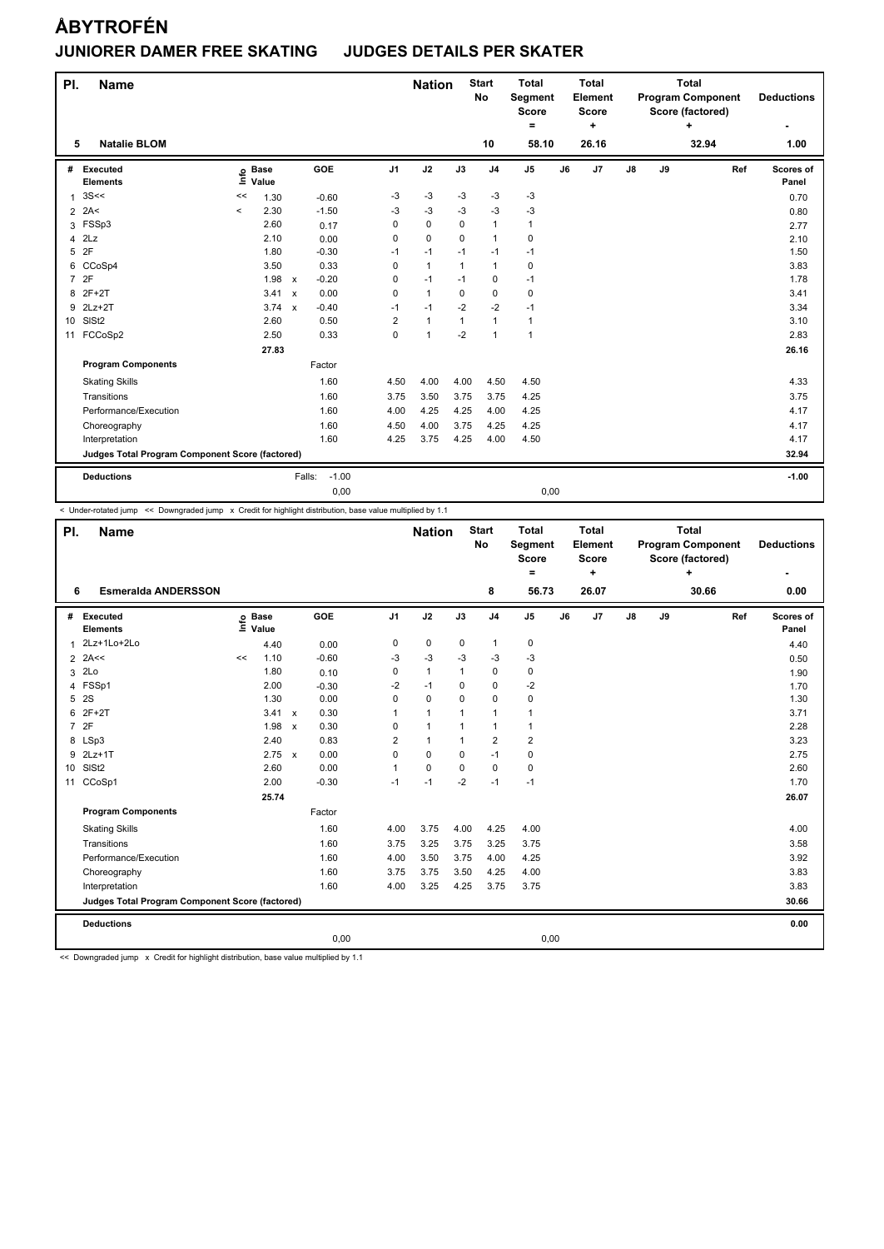| PI.             | <b>Name</b>                                     |                              |               |                   |                         | <b>Nation</b> |              | <b>Start</b><br><b>No</b> | <b>Total</b><br>Segment<br><b>Score</b><br>Ξ. |    | <b>Total</b><br>Element<br><b>Score</b><br>٠ |               |    | <b>Total</b><br><b>Program Component</b><br>Score (factored)<br>÷ |     | <b>Deductions</b>  |
|-----------------|-------------------------------------------------|------------------------------|---------------|-------------------|-------------------------|---------------|--------------|---------------------------|-----------------------------------------------|----|----------------------------------------------|---------------|----|-------------------------------------------------------------------|-----|--------------------|
| 5               | <b>Natalie BLOM</b>                             |                              |               |                   |                         |               |              | 10                        | 58.10                                         |    | 26.16                                        |               |    | 32.94                                                             |     | 1.00               |
| #               | Executed<br><b>Elements</b>                     | <b>Base</b><br>Life<br>Value |               | GOE               | J <sub>1</sub>          | J2            | J3           | J <sub>4</sub>            | J <sub>5</sub>                                | J6 | J7                                           | $\mathsf{J}8$ | J9 |                                                                   | Ref | Scores of<br>Panel |
| $\mathbf 1$     | 3S<<                                            | 1.30<br><<                   |               | $-0.60$           | -3                      | $-3$          | $-3$         | $-3$                      | $-3$                                          |    |                                              |               |    |                                                                   |     | 0.70               |
| $\overline{2}$  | 2A<                                             | 2.30<br>$\prec$              |               | $-1.50$           | $-3$                    | $-3$          | $-3$         | $-3$                      | $-3$                                          |    |                                              |               |    |                                                                   |     | 0.80               |
| 3               | FSSp3                                           | 2.60                         |               | 0.17              | $\Omega$                | $\mathbf 0$   | $\Omega$     | $\mathbf{1}$              | 1                                             |    |                                              |               |    |                                                                   |     | 2.77               |
| 4               | 2Lz                                             | 2.10                         |               | 0.00              | $\Omega$                | $\mathbf 0$   | $\Omega$     | $\mathbf{1}$              | 0                                             |    |                                              |               |    |                                                                   |     | 2.10               |
| 5               | 2F                                              | 1.80                         |               | $-0.30$           | $-1$                    | $-1$          | $-1$         | $-1$                      | $-1$                                          |    |                                              |               |    |                                                                   |     | 1.50               |
| 6               | CCoSp4                                          | 3.50                         |               | 0.33              | 0                       | $\mathbf{1}$  | $\mathbf{1}$ | $\mathbf{1}$              | $\mathbf 0$                                   |    |                                              |               |    |                                                                   |     | 3.83               |
| $\overline{7}$  | 2F                                              | 1.98                         | $\mathsf{x}$  | $-0.20$           | 0                       | $-1$          | -1           | $\mathbf 0$               | $-1$                                          |    |                                              |               |    |                                                                   |     | 1.78               |
| 8               | $2F+2T$                                         | 3.41                         | $\mathsf{x}$  | 0.00              | 0                       | $\mathbf{1}$  | 0            | $\mathbf 0$               | $\mathbf 0$                                   |    |                                              |               |    |                                                                   |     | 3.41               |
| 9               | $2Lz+2T$                                        |                              | $3.74 \times$ | $-0.40$           | $-1$                    | $-1$          | $-2$         | $-2$                      | $-1$                                          |    |                                              |               |    |                                                                   |     | 3.34               |
| 10 <sup>°</sup> | SISt <sub>2</sub>                               | 2.60                         |               | 0.50              | $\overline{\mathbf{c}}$ | $\mathbf{1}$  | 1            | $\mathbf{1}$              | 1                                             |    |                                              |               |    |                                                                   |     | 3.10               |
| 11              | FCCoSp2                                         | 2.50                         |               | 0.33              | $\Omega$                | $\mathbf{1}$  | $-2$         | $\mathbf{1}$              | $\mathbf{1}$                                  |    |                                              |               |    |                                                                   |     | 2.83               |
|                 |                                                 | 27.83                        |               |                   |                         |               |              |                           |                                               |    |                                              |               |    |                                                                   |     | 26.16              |
|                 | <b>Program Components</b>                       |                              |               | Factor            |                         |               |              |                           |                                               |    |                                              |               |    |                                                                   |     |                    |
|                 | <b>Skating Skills</b>                           |                              |               | 1.60              | 4.50                    | 4.00          | 4.00         | 4.50                      | 4.50                                          |    |                                              |               |    |                                                                   |     | 4.33               |
|                 | Transitions                                     |                              |               | 1.60              | 3.75                    | 3.50          | 3.75         | 3.75                      | 4.25                                          |    |                                              |               |    |                                                                   |     | 3.75               |
|                 | Performance/Execution                           |                              |               | 1.60              | 4.00                    | 4.25          | 4.25         | 4.00                      | 4.25                                          |    |                                              |               |    |                                                                   |     | 4.17               |
|                 | Choreography                                    |                              |               | 1.60              | 4.50                    | 4.00          | 3.75         | 4.25                      | 4.25                                          |    |                                              |               |    |                                                                   |     | 4.17               |
|                 | Interpretation                                  |                              |               | 1.60              | 4.25                    | 3.75          | 4.25         | 4.00                      | 4.50                                          |    |                                              |               |    |                                                                   |     | 4.17               |
|                 | Judges Total Program Component Score (factored) |                              |               |                   |                         |               |              |                           |                                               |    |                                              |               |    |                                                                   |     | 32.94              |
|                 | <b>Deductions</b>                               |                              |               | $-1.00$<br>Falls: |                         |               |              |                           |                                               |    |                                              |               |    |                                                                   |     | $-1.00$            |
|                 |                                                 |                              |               | 0,00              |                         |               |              |                           | 0,00                                          |    |                                              |               |    |                                                                   |     |                    |

-<br>< Under-rotated jump << Downgraded jump x Credit for highlight distribution, base value multiplied by 1.1

| PI.             | <b>Name</b>                                     |      |                      |                      |      |                | <b>Nation</b> |              | <b>Start</b><br>No | <b>Total</b><br>Segment<br><b>Score</b><br>= |    | <b>Total</b><br>Element<br><b>Score</b><br>÷ |               |    | <b>Total</b><br><b>Program Component</b><br>Score (factored)<br>÷ |     | <b>Deductions</b>  |
|-----------------|-------------------------------------------------|------|----------------------|----------------------|------|----------------|---------------|--------------|--------------------|----------------------------------------------|----|----------------------------------------------|---------------|----|-------------------------------------------------------------------|-----|--------------------|
| 6               | <b>Esmeralda ANDERSSON</b>                      |      |                      |                      |      |                |               |              | 8                  | 56.73                                        |    | 26.07                                        |               |    | 30.66                                                             |     | 0.00               |
| #               | Executed<br><b>Elements</b>                     | Life | <b>Base</b><br>Value | GOE                  |      | J <sub>1</sub> | J2            | J3           | J <sub>4</sub>     | J <sub>5</sub>                               | J6 | J7                                           | $\mathsf{J}8$ | J9 |                                                                   | Ref | Scores of<br>Panel |
| $\mathbf{1}$    | 2Lz+1Lo+2Lo                                     |      | 4.40                 | 0.00                 |      | 0              | $\pmb{0}$     | $\mathbf 0$  | $\mathbf{1}$       | $\pmb{0}$                                    |    |                                              |               |    |                                                                   |     | 4.40               |
|                 | $2$ 2A<<                                        | <<   | 1.10                 | $-0.60$              |      | -3             | $-3$          | $-3$         | $-3$               | $-3$                                         |    |                                              |               |    |                                                                   |     | 0.50               |
| 3               | 2Lo                                             |      | 1.80                 | 0.10                 |      | 0              | $\mathbf{1}$  | $\mathbf{1}$ | $\mathbf 0$        | 0                                            |    |                                              |               |    |                                                                   |     | 1.90               |
| $\overline{4}$  | FSSp1                                           |      | 2.00                 | $-0.30$              |      | -2             | $-1$          | 0            | 0                  | $-2$                                         |    |                                              |               |    |                                                                   |     | 1.70               |
| 5               | <b>2S</b>                                       |      | 1.30                 | 0.00                 |      | 0              | $\Omega$      | $\Omega$     | 0                  | $\pmb{0}$                                    |    |                                              |               |    |                                                                   |     | 1.30               |
| 6               | $2F+2T$                                         |      | 3.41                 | 0.30<br>$\mathsf{x}$ |      | 1              | $\mathbf{1}$  | 1            | $\mathbf{1}$       | $\mathbf{1}$                                 |    |                                              |               |    |                                                                   |     | 3.71               |
|                 | 7 2F                                            |      | 1.98                 | 0.30<br>$\mathsf{x}$ |      | 0              | $\mathbf{1}$  | 1            | $\mathbf{1}$       | $\mathbf{1}$                                 |    |                                              |               |    |                                                                   |     | 2.28               |
| 8               | LSp3                                            |      | 2.40                 | 0.83                 |      | $\overline{2}$ | $\mathbf{1}$  | $\mathbf{1}$ | $\overline{2}$     | $\overline{\mathbf{c}}$                      |    |                                              |               |    |                                                                   |     | 3.23               |
| 9               | $2Lz+1T$                                        |      | 2.75                 | 0.00<br>$\mathsf{x}$ |      | 0              | $\mathbf 0$   | $\mathbf 0$  | $-1$               | 0                                            |    |                                              |               |    |                                                                   |     | 2.75               |
| 10 <sup>1</sup> | SISt <sub>2</sub>                               |      | 2.60                 | 0.00                 |      | 1              | $\mathbf 0$   | $\Omega$     | $\mathbf 0$        | $\pmb{0}$                                    |    |                                              |               |    |                                                                   |     | 2.60               |
| 11              | CCoSp1                                          |      | 2.00                 | $-0.30$              |      | $-1$           | $-1$          | $-2$         | $-1$               | $-1$                                         |    |                                              |               |    |                                                                   |     | 1.70               |
|                 |                                                 |      | 25.74                |                      |      |                |               |              |                    |                                              |    |                                              |               |    |                                                                   |     | 26.07              |
|                 | <b>Program Components</b>                       |      |                      | Factor               |      |                |               |              |                    |                                              |    |                                              |               |    |                                                                   |     |                    |
|                 | <b>Skating Skills</b>                           |      |                      | 1.60                 |      | 4.00           | 3.75          | 4.00         | 4.25               | 4.00                                         |    |                                              |               |    |                                                                   |     | 4.00               |
|                 | Transitions                                     |      |                      | 1.60                 |      | 3.75           | 3.25          | 3.75         | 3.25               | 3.75                                         |    |                                              |               |    |                                                                   |     | 3.58               |
|                 | Performance/Execution                           |      |                      | 1.60                 |      | 4.00           | 3.50          | 3.75         | 4.00               | 4.25                                         |    |                                              |               |    |                                                                   |     | 3.92               |
|                 | Choreography                                    |      |                      | 1.60                 |      | 3.75           | 3.75          | 3.50         | 4.25               | 4.00                                         |    |                                              |               |    |                                                                   |     | 3.83               |
|                 | Interpretation                                  |      |                      | 1.60                 |      | 4.00           | 3.25          | 4.25         | 3.75               | 3.75                                         |    |                                              |               |    |                                                                   |     | 3.83               |
|                 | Judges Total Program Component Score (factored) |      |                      |                      |      |                |               |              |                    |                                              |    |                                              |               |    |                                                                   |     | 30.66              |
|                 | <b>Deductions</b>                               |      |                      |                      |      |                |               |              |                    |                                              |    |                                              |               |    |                                                                   |     | 0.00               |
|                 |                                                 |      |                      |                      | 0,00 |                |               |              |                    | 0,00                                         |    |                                              |               |    |                                                                   |     |                    |

<< Downgraded jump x Credit for highlight distribution, base value multiplied by 1.1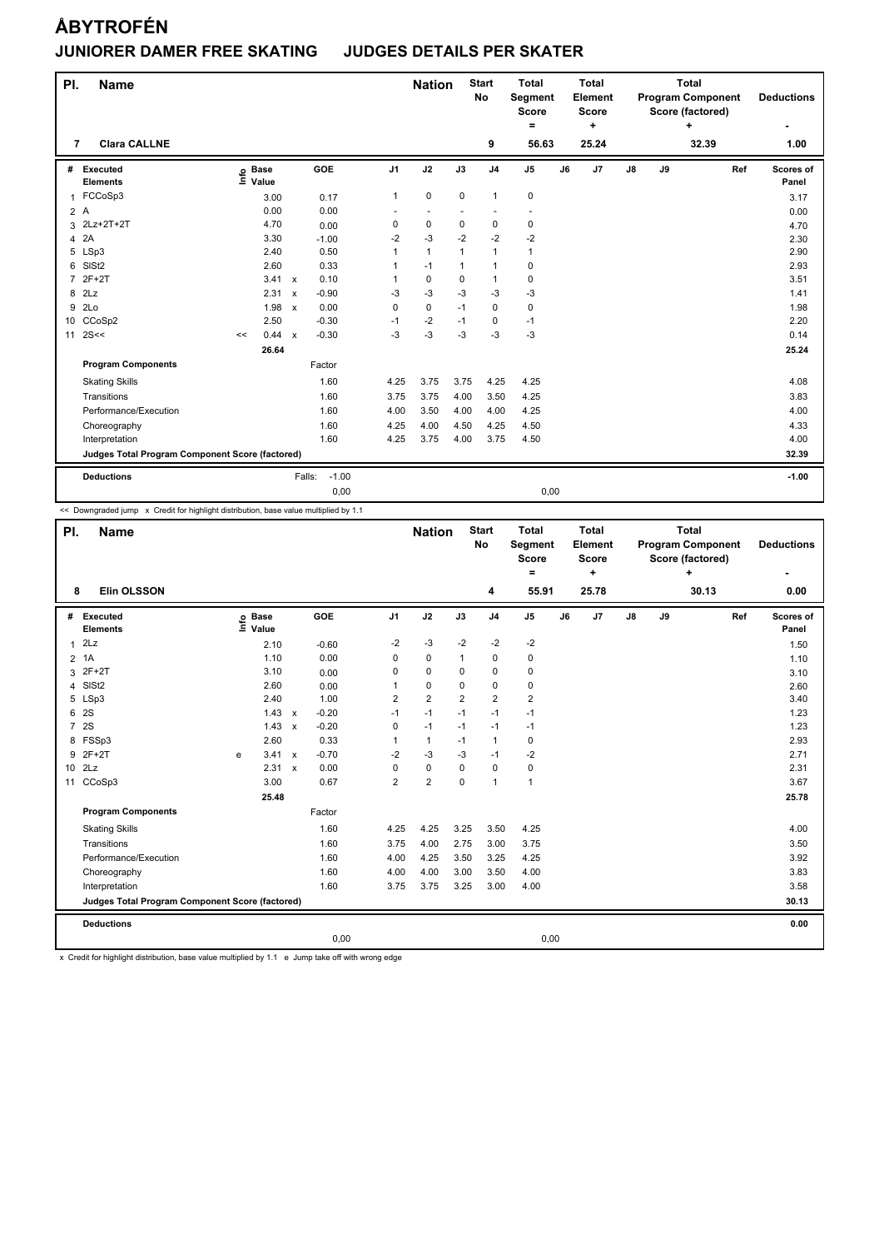| PI. | <b>Name</b>                                     |                              |       |                           |         |                | <b>Nation</b>            |                | <b>Start</b><br>No   | <b>Total</b><br>Segment<br><b>Score</b><br>$\equiv$ |    | <b>Total</b><br>Element<br><b>Score</b><br>÷ |               |    | <b>Total</b><br><b>Program Component</b><br>Score (factored)<br>÷ |     | <b>Deductions</b>  |
|-----|-------------------------------------------------|------------------------------|-------|---------------------------|---------|----------------|--------------------------|----------------|----------------------|-----------------------------------------------------|----|----------------------------------------------|---------------|----|-------------------------------------------------------------------|-----|--------------------|
| 7   | <b>Clara CALLNE</b>                             |                              |       |                           |         |                |                          |                | 9                    | 56.63                                               |    | 25.24                                        |               |    | 32.39                                                             |     | 1.00               |
| #   | Executed<br><b>Elements</b>                     | <b>Base</b><br>١nfo<br>Value |       |                           | GOE     | J <sub>1</sub> | J2                       | J3             | J <sub>4</sub>       | J <sub>5</sub>                                      | J6 | J7                                           | $\mathsf{J}8$ | J9 |                                                                   | Ref | Scores of<br>Panel |
| 1   | FCCoSp3                                         |                              | 3.00  |                           | 0.17    | $\mathbf{1}$   | $\pmb{0}$                | 0              | $\mathbf{1}$         | $\pmb{0}$                                           |    |                                              |               |    |                                                                   |     | 3.17               |
| 2A  |                                                 |                              | 0.00  |                           | 0.00    | ÷              | $\overline{\phantom{a}}$ | $\overline{a}$ | $\ddot{\phantom{1}}$ | $\ddot{\phantom{1}}$                                |    |                                              |               |    |                                                                   |     | 0.00               |
|     | 3 2Lz+2T+2T                                     |                              | 4.70  |                           | 0.00    | $\Omega$       | $\mathbf 0$              | $\Omega$       | $\mathbf 0$          | 0                                                   |    |                                              |               |    |                                                                   |     | 4.70               |
| 4   | 2A                                              |                              | 3.30  |                           | $-1.00$ | $-2$           | $-3$                     | $-2$           | $-2$                 | $-2$                                                |    |                                              |               |    |                                                                   |     | 2.30               |
| 5   | LSp3                                            |                              | 2.40  |                           | 0.50    | 1              | $\mathbf{1}$             | 1              | $\mathbf{1}$         | $\mathbf{1}$                                        |    |                                              |               |    |                                                                   |     | 2.90               |
| 6   | SIS <sub>t2</sub>                               |                              | 2.60  |                           | 0.33    | 1              | $-1$                     | $\mathbf{1}$   | $\mathbf{1}$         | $\pmb{0}$                                           |    |                                              |               |    |                                                                   |     | 2.93               |
| 7   | $2F+2T$                                         |                              | 3.41  | $\mathsf{x}$              | 0.10    | 1              | $\mathbf 0$              | $\Omega$       | $\mathbf{1}$         | $\mathbf 0$                                         |    |                                              |               |    |                                                                   |     | 3.51               |
| 8   | 2Lz                                             |                              | 2.31  | $\boldsymbol{\mathsf{x}}$ | $-0.90$ | $-3$           | $-3$                     | $-3$           | $-3$                 | $-3$                                                |    |                                              |               |    |                                                                   |     | 1.41               |
| 9   | 2Lo                                             |                              | 1.98  | $\mathsf{x}$              | 0.00    | 0              | 0                        | $-1$           | $\mathbf 0$          | 0                                                   |    |                                              |               |    |                                                                   |     | 1.98               |
|     | 10 CCoSp2                                       |                              | 2.50  |                           | $-0.30$ | $-1$           | $-2$                     | $-1$           | 0                    | $-1$                                                |    |                                              |               |    |                                                                   |     | 2.20               |
| 11  | 2S<<                                            | <<                           | 0.44  | $\mathsf{x}$              | $-0.30$ | $-3$           | $-3$                     | $-3$           | $-3$                 | $-3$                                                |    |                                              |               |    |                                                                   |     | 0.14               |
|     |                                                 |                              | 26.64 |                           |         |                |                          |                |                      |                                                     |    |                                              |               |    |                                                                   |     | 25.24              |
|     | <b>Program Components</b>                       |                              |       |                           | Factor  |                |                          |                |                      |                                                     |    |                                              |               |    |                                                                   |     |                    |
|     | <b>Skating Skills</b>                           |                              |       |                           | 1.60    | 4.25           | 3.75                     | 3.75           | 4.25                 | 4.25                                                |    |                                              |               |    |                                                                   |     | 4.08               |
|     | Transitions                                     |                              |       |                           | 1.60    | 3.75           | 3.75                     | 4.00           | 3.50                 | 4.25                                                |    |                                              |               |    |                                                                   |     | 3.83               |
|     | Performance/Execution                           |                              |       |                           | 1.60    | 4.00           | 3.50                     | 4.00           | 4.00                 | 4.25                                                |    |                                              |               |    |                                                                   |     | 4.00               |
|     | Choreography                                    |                              |       |                           | 1.60    | 4.25           | 4.00                     | 4.50           | 4.25                 | 4.50                                                |    |                                              |               |    |                                                                   |     | 4.33               |
|     | Interpretation                                  |                              |       |                           | 1.60    | 4.25           | 3.75                     | 4.00           | 3.75                 | 4.50                                                |    |                                              |               |    |                                                                   |     | 4.00               |
|     | Judges Total Program Component Score (factored) |                              |       |                           |         |                |                          |                |                      |                                                     |    |                                              |               |    |                                                                   |     | 32.39              |
|     | <b>Deductions</b>                               |                              |       | Falls:                    | $-1.00$ |                |                          |                |                      |                                                     |    |                                              |               |    |                                                                   |     | $-1.00$            |
|     |                                                 |                              |       |                           | 0,00    |                |                          |                |                      | 0,00                                                |    |                                              |               |    |                                                                   |     |                    |

<< Downgraded jump x Credit for highlight distribution, base value multiplied by 1.1

| PI.            | <b>Name</b>                                     |    |                      |         |                | <b>Nation</b>  |          | <b>Start</b><br><b>No</b> | <b>Total</b><br>Segment<br><b>Score</b><br>$=$ |    | <b>Total</b><br>Element<br><b>Score</b><br>$\ddot{}$ |               |    | <b>Total</b><br><b>Program Component</b><br>Score (factored)<br>٠ |     | <b>Deductions</b>  |
|----------------|-------------------------------------------------|----|----------------------|---------|----------------|----------------|----------|---------------------------|------------------------------------------------|----|------------------------------------------------------|---------------|----|-------------------------------------------------------------------|-----|--------------------|
| 8              | <b>Elin OLSSON</b>                              |    |                      |         |                |                |          | 4                         | 55.91                                          |    | 25.78                                                |               |    | 30.13                                                             |     | 0.00               |
| #              | Executed<br><b>Elements</b>                     | ۴o | <b>Base</b><br>Value | GOE     | J <sub>1</sub> | J2             | J3       | J <sub>4</sub>            | J <sub>5</sub>                                 | J6 | J7                                                   | $\mathsf{J}8$ | J9 |                                                                   | Ref | Scores of<br>Panel |
| $\mathbf{1}$   | 2Lz                                             |    | 2.10                 | $-0.60$ | $-2$           | $-3$           | $-2$     | $-2$                      | $-2$                                           |    |                                                      |               |    |                                                                   |     | 1.50               |
| $\overline{2}$ | 1A                                              |    | 1.10                 | 0.00    | 0              | 0              | 1        | 0                         | 0                                              |    |                                                      |               |    |                                                                   |     | 1.10               |
| 3              | $2F+2T$                                         |    | 3.10                 | 0.00    | 0              | $\mathbf 0$    | 0        | $\mathbf 0$               | 0                                              |    |                                                      |               |    |                                                                   |     | 3.10               |
| 4              | SISt <sub>2</sub>                               |    | 2.60                 | 0.00    |                | 0              | $\Omega$ | 0                         | 0                                              |    |                                                      |               |    |                                                                   |     | 2.60               |
|                | 5 LSp3                                          |    | 2.40                 | 1.00    | 2              | $\overline{2}$ | 2        | $\overline{2}$            | $\overline{2}$                                 |    |                                                      |               |    |                                                                   |     | 3.40               |
|                | 6 2S                                            |    | $1.43 \times$        | $-0.20$ | $-1$           | $-1$           | $-1$     | $-1$                      | $-1$                                           |    |                                                      |               |    |                                                                   |     | 1.23               |
| $\overline{7}$ | <b>2S</b>                                       |    | $1.43 \times$        | $-0.20$ | 0              | $-1$           | $-1$     | $-1$                      | $-1$                                           |    |                                                      |               |    |                                                                   |     | 1.23               |
| 8              | FSSp3                                           |    | 2.60                 | 0.33    |                | $\mathbf{1}$   | $-1$     | $\mathbf{1}$              | 0                                              |    |                                                      |               |    |                                                                   |     | 2.93               |
| 9              | $2F+2T$                                         | e  | 3.41 x               | $-0.70$ | $-2$           | -3             | -3       | $-1$                      | -2                                             |    |                                                      |               |    |                                                                   |     | 2.71               |
|                | 10 2Lz                                          |    | 2.31 x               | 0.00    | 0              | $\pmb{0}$      | 0        | $\mathbf 0$               | 0                                              |    |                                                      |               |    |                                                                   |     | 2.31               |
|                | 11 CCoSp3                                       |    | 3.00                 | 0.67    | $\overline{2}$ | $\overline{2}$ | $\Omega$ | $\mathbf{1}$              | $\mathbf{1}$                                   |    |                                                      |               |    |                                                                   |     | 3.67               |
|                |                                                 |    | 25.48                |         |                |                |          |                           |                                                |    |                                                      |               |    |                                                                   |     | 25.78              |
|                | <b>Program Components</b>                       |    |                      | Factor  |                |                |          |                           |                                                |    |                                                      |               |    |                                                                   |     |                    |
|                | <b>Skating Skills</b>                           |    |                      | 1.60    | 4.25           | 4.25           | 3.25     | 3.50                      | 4.25                                           |    |                                                      |               |    |                                                                   |     | 4.00               |
|                | Transitions                                     |    |                      | 1.60    | 3.75           | 4.00           | 2.75     | 3.00                      | 3.75                                           |    |                                                      |               |    |                                                                   |     | 3.50               |
|                | Performance/Execution                           |    |                      | 1.60    | 4.00           | 4.25           | 3.50     | 3.25                      | 4.25                                           |    |                                                      |               |    |                                                                   |     | 3.92               |
|                | Choreography                                    |    |                      | 1.60    | 4.00           | 4.00           | 3.00     | 3.50                      | 4.00                                           |    |                                                      |               |    |                                                                   |     | 3.83               |
|                | Interpretation                                  |    |                      | 1.60    | 3.75           | 3.75           | 3.25     | 3.00                      | 4.00                                           |    |                                                      |               |    |                                                                   |     | 3.58               |
|                | Judges Total Program Component Score (factored) |    |                      |         |                |                |          |                           |                                                |    |                                                      |               |    |                                                                   |     | 30.13              |
|                | <b>Deductions</b>                               |    |                      |         |                |                |          |                           |                                                |    |                                                      |               |    |                                                                   |     | 0.00               |
|                |                                                 |    |                      | 0,00    |                |                |          |                           | 0,00                                           |    |                                                      |               |    |                                                                   |     |                    |

x Credit for highlight distribution, base value multiplied by 1.1 e Jump take off with wrong edge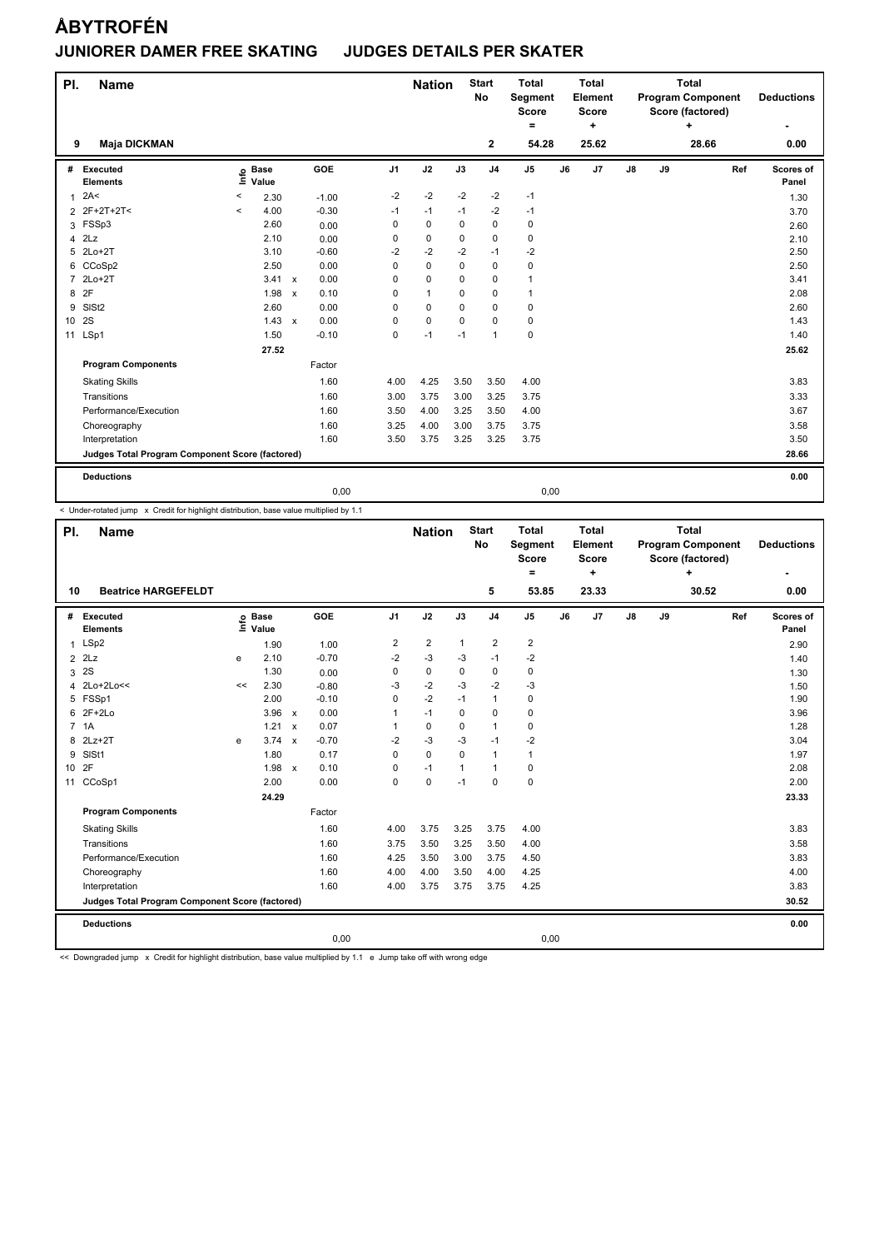| PI.            | <b>Name</b>                                     |         |                      |                           |         |                | <b>Nation</b> |             | <b>Start</b><br><b>No</b> | <b>Total</b><br>Segment<br><b>Score</b><br>۰ |    | <b>Total</b><br>Element<br><b>Score</b><br>÷ |               |    | <b>Total</b><br><b>Program Component</b><br>Score (factored)<br>÷ |     | <b>Deductions</b>  |
|----------------|-------------------------------------------------|---------|----------------------|---------------------------|---------|----------------|---------------|-------------|---------------------------|----------------------------------------------|----|----------------------------------------------|---------------|----|-------------------------------------------------------------------|-----|--------------------|
| 9              | <b>Maja DICKMAN</b>                             |         |                      |                           |         |                |               |             | $\mathbf{2}$              | 54.28                                        |    | 25.62                                        |               |    | 28.66                                                             |     | 0.00               |
| #              | Executed<br><b>Elements</b>                     | ۴ů      | <b>Base</b><br>Value |                           | GOE     | J <sub>1</sub> | J2            | J3          | J <sub>4</sub>            | J5                                           | J6 | J7                                           | $\mathsf{J}8$ | J9 |                                                                   | Ref | Scores of<br>Panel |
| $\mathbf{1}$   | 2A<                                             | $\,<$   | 2.30                 |                           | $-1.00$ | $-2$           | $-2$          | $-2$        | $-2$                      | $-1$                                         |    |                                              |               |    |                                                                   |     | 1.30               |
|                | 2 2F+2T+2T<                                     | $\prec$ | 4.00                 |                           | $-0.30$ | $-1$           | $-1$          | $-1$        | $-2$                      | $-1$                                         |    |                                              |               |    |                                                                   |     | 3.70               |
| 3              | FSSp3                                           |         | 2.60                 |                           | 0.00    | 0              | $\mathbf 0$   | 0           | $\mathbf 0$               | 0                                            |    |                                              |               |    |                                                                   |     | 2.60               |
| 4              | 2Lz                                             |         | 2.10                 |                           | 0.00    | 0              | $\mathbf 0$   | $\Omega$    | $\mathbf 0$               | $\mathbf 0$                                  |    |                                              |               |    |                                                                   |     | 2.10               |
| 5              | $2Lo+2T$                                        |         | 3.10                 |                           | $-0.60$ | $-2$           | $-2$          | $-2$        | $-1$                      | $-2$                                         |    |                                              |               |    |                                                                   |     | 2.50               |
| 6              | CCoSp2                                          |         | 2.50                 |                           | 0.00    | 0              | $\mathbf 0$   | $\mathbf 0$ | $\mathbf 0$               | 0                                            |    |                                              |               |    |                                                                   |     | 2.50               |
| $\overline{7}$ | $2Lo+2T$                                        |         | 3.41                 | $\boldsymbol{\mathsf{x}}$ | 0.00    | 0              | $\mathbf 0$   | $\Omega$    | 0                         | 1                                            |    |                                              |               |    |                                                                   |     | 3.41               |
| 8              | 2F                                              |         | 1.98                 | $\mathbf{x}$              | 0.10    | 0              | $\mathbf{1}$  | $\Omega$    | $\mathbf 0$               | 1                                            |    |                                              |               |    |                                                                   |     | 2.08               |
| 9              | SISt <sub>2</sub>                               |         | 2.60                 |                           | 0.00    | $\Omega$       | $\Omega$      | $\Omega$    | $\mathbf 0$               | 0                                            |    |                                              |               |    |                                                                   |     | 2.60               |
| 10             | 2S                                              |         | 1.43                 | $\mathsf{x}$              | 0.00    | 0              | $\pmb{0}$     | 0           | $\mathbf 0$               | 0                                            |    |                                              |               |    |                                                                   |     | 1.43               |
| 11             | LSp1                                            |         | 1.50                 |                           | $-0.10$ | $\mathbf 0$    | $-1$          | $-1$        | $\mathbf{1}$              | $\mathbf 0$                                  |    |                                              |               |    |                                                                   |     | 1.40               |
|                |                                                 |         | 27.52                |                           |         |                |               |             |                           |                                              |    |                                              |               |    |                                                                   |     | 25.62              |
|                | <b>Program Components</b>                       |         |                      |                           | Factor  |                |               |             |                           |                                              |    |                                              |               |    |                                                                   |     |                    |
|                | <b>Skating Skills</b>                           |         |                      |                           | 1.60    | 4.00           | 4.25          | 3.50        | 3.50                      | 4.00                                         |    |                                              |               |    |                                                                   |     | 3.83               |
|                | Transitions                                     |         |                      |                           | 1.60    | 3.00           | 3.75          | 3.00        | 3.25                      | 3.75                                         |    |                                              |               |    |                                                                   |     | 3.33               |
|                | Performance/Execution                           |         |                      |                           | 1.60    | 3.50           | 4.00          | 3.25        | 3.50                      | 4.00                                         |    |                                              |               |    |                                                                   |     | 3.67               |
|                | Choreography                                    |         |                      |                           | 1.60    | 3.25           | 4.00          | 3.00        | 3.75                      | 3.75                                         |    |                                              |               |    |                                                                   |     | 3.58               |
|                | Interpretation                                  |         |                      |                           | 1.60    | 3.50           | 3.75          | 3.25        | 3.25                      | 3.75                                         |    |                                              |               |    |                                                                   |     | 3.50               |
|                | Judges Total Program Component Score (factored) |         |                      |                           |         |                |               |             |                           |                                              |    |                                              |               |    |                                                                   |     | 28.66              |
|                | <b>Deductions</b>                               |         |                      |                           |         |                |               |             |                           |                                              |    |                                              |               |    |                                                                   |     | 0.00               |
|                |                                                 |         |                      |                           | 0,00    |                |               |             |                           | 0,00                                         |    |                                              |               |    |                                                                   |     |                    |

< Under-rotated jump x Credit for highlight distribution, base value multiplied by 1.1

| PI.             | <b>Name</b>                                     |                           |                      |                           |         |                | <b>Nation</b>  |                | <b>Start</b><br><b>No</b> | <b>Total</b><br>Segment<br><b>Score</b><br>Ξ. |    | <b>Total</b><br>Element<br><b>Score</b><br>÷ |    |    | <b>Total</b><br><b>Program Component</b><br>Score (factored)<br>÷ |     | <b>Deductions</b>  |
|-----------------|-------------------------------------------------|---------------------------|----------------------|---------------------------|---------|----------------|----------------|----------------|---------------------------|-----------------------------------------------|----|----------------------------------------------|----|----|-------------------------------------------------------------------|-----|--------------------|
| 10              | <b>Beatrice HARGEFELDT</b>                      |                           |                      |                           |         |                |                |                | 5                         | 53.85                                         |    | 23.33                                        |    |    | 30.52                                                             |     | 0.00               |
|                 | # Executed<br><b>Elements</b>                   | $\mathsf{Int}^\mathsf{o}$ | <b>Base</b><br>Value |                           | GOE     | J <sub>1</sub> | J2             | J3             | J <sub>4</sub>            | J <sub>5</sub>                                | J6 | J7                                           | J8 | J9 |                                                                   | Ref | Scores of<br>Panel |
|                 | 1 LSp2                                          |                           | 1.90                 |                           | 1.00    | 2              | $\overline{2}$ | $\mathbf{1}$   | $\overline{2}$            | $\overline{2}$                                |    |                                              |    |    |                                                                   |     | 2.90               |
| $\overline{2}$  | 2Lz                                             | e                         | 2.10                 |                           | $-0.70$ | $-2$           | $-3$           | -3             | $-1$                      | $-2$                                          |    |                                              |    |    |                                                                   |     | 1.40               |
| 3               | 2S                                              |                           | 1.30                 |                           | 0.00    | 0              | 0              | $\mathbf 0$    | $\pmb{0}$                 | $\pmb{0}$                                     |    |                                              |    |    |                                                                   |     | 1.30               |
| 4               | 2Lo+2Lo<<                                       | <<                        | 2.30                 |                           | $-0.80$ | $-3$           | $-2$           | $-3$           | $-2$                      | $-3$                                          |    |                                              |    |    |                                                                   |     | 1.50               |
|                 | 5 FSSp1                                         |                           | 2.00                 |                           | $-0.10$ | 0              | $-2$           | $-1$           | $\mathbf{1}$              | $\pmb{0}$                                     |    |                                              |    |    |                                                                   |     | 1.90               |
| 6               | $2F+2Lo$                                        |                           | 3.96                 | $\mathsf{x}$              | 0.00    | 1              | $-1$           | $\Omega$       | $\mathbf 0$               | $\pmb{0}$                                     |    |                                              |    |    |                                                                   |     | 3.96               |
|                 | 7 1A                                            |                           | 1.21                 | $\boldsymbol{\mathsf{x}}$ | 0.07    | 1              | 0              | 0              | $\mathbf{1}$              | $\pmb{0}$                                     |    |                                              |    |    |                                                                   |     | 1.28               |
| 8               | $2Lz+2T$                                        | e                         | $3.74 \times$        |                           | $-0.70$ | $-2$           | $-3$           | $-3$           | $-1$                      | $-2$                                          |    |                                              |    |    |                                                                   |     | 3.04               |
| 9               | SISt1                                           |                           | 1.80                 |                           | 0.17    | 0              | $\Omega$       | $\Omega$       | $\mathbf{1}$              | $\mathbf{1}$                                  |    |                                              |    |    |                                                                   |     | 1.97               |
| 10 <sup>1</sup> | 2F                                              |                           | 1.98                 | $\mathsf{x}$              | 0.10    | 0              | $-1$           | $\overline{1}$ | $\overline{1}$            | $\pmb{0}$                                     |    |                                              |    |    |                                                                   |     | 2.08               |
| 11              | CCoSp1                                          |                           | 2.00                 |                           | 0.00    | 0              | $\mathbf 0$    | $-1$           | $\mathbf 0$               | $\pmb{0}$                                     |    |                                              |    |    |                                                                   |     | 2.00               |
|                 |                                                 |                           | 24.29                |                           |         |                |                |                |                           |                                               |    |                                              |    |    |                                                                   |     | 23.33              |
|                 | <b>Program Components</b>                       |                           |                      |                           | Factor  |                |                |                |                           |                                               |    |                                              |    |    |                                                                   |     |                    |
|                 | <b>Skating Skills</b>                           |                           |                      |                           | 1.60    | 4.00           | 3.75           | 3.25           | 3.75                      | 4.00                                          |    |                                              |    |    |                                                                   |     | 3.83               |
|                 | Transitions                                     |                           |                      |                           | 1.60    | 3.75           | 3.50           | 3.25           | 3.50                      | 4.00                                          |    |                                              |    |    |                                                                   |     | 3.58               |
|                 | Performance/Execution                           |                           |                      |                           | 1.60    | 4.25           | 3.50           | 3.00           | 3.75                      | 4.50                                          |    |                                              |    |    |                                                                   |     | 3.83               |
|                 | Choreography                                    |                           |                      |                           | 1.60    | 4.00           | 4.00           | 3.50           | 4.00                      | 4.25                                          |    |                                              |    |    |                                                                   |     | 4.00               |
|                 | Interpretation                                  |                           |                      |                           | 1.60    | 4.00           | 3.75           | 3.75           | 3.75                      | 4.25                                          |    |                                              |    |    |                                                                   |     | 3.83               |
|                 | Judges Total Program Component Score (factored) |                           |                      |                           |         |                |                |                |                           |                                               |    |                                              |    |    |                                                                   |     | 30.52              |
|                 | <b>Deductions</b>                               |                           |                      |                           |         |                |                |                |                           |                                               |    |                                              |    |    |                                                                   |     | 0.00               |
|                 |                                                 |                           |                      |                           | 0,00    |                |                |                |                           | 0,00                                          |    |                                              |    |    |                                                                   |     |                    |

<< Downgraded jump x Credit for highlight distribution, base value multiplied by 1.1 e Jump take off with wrong edge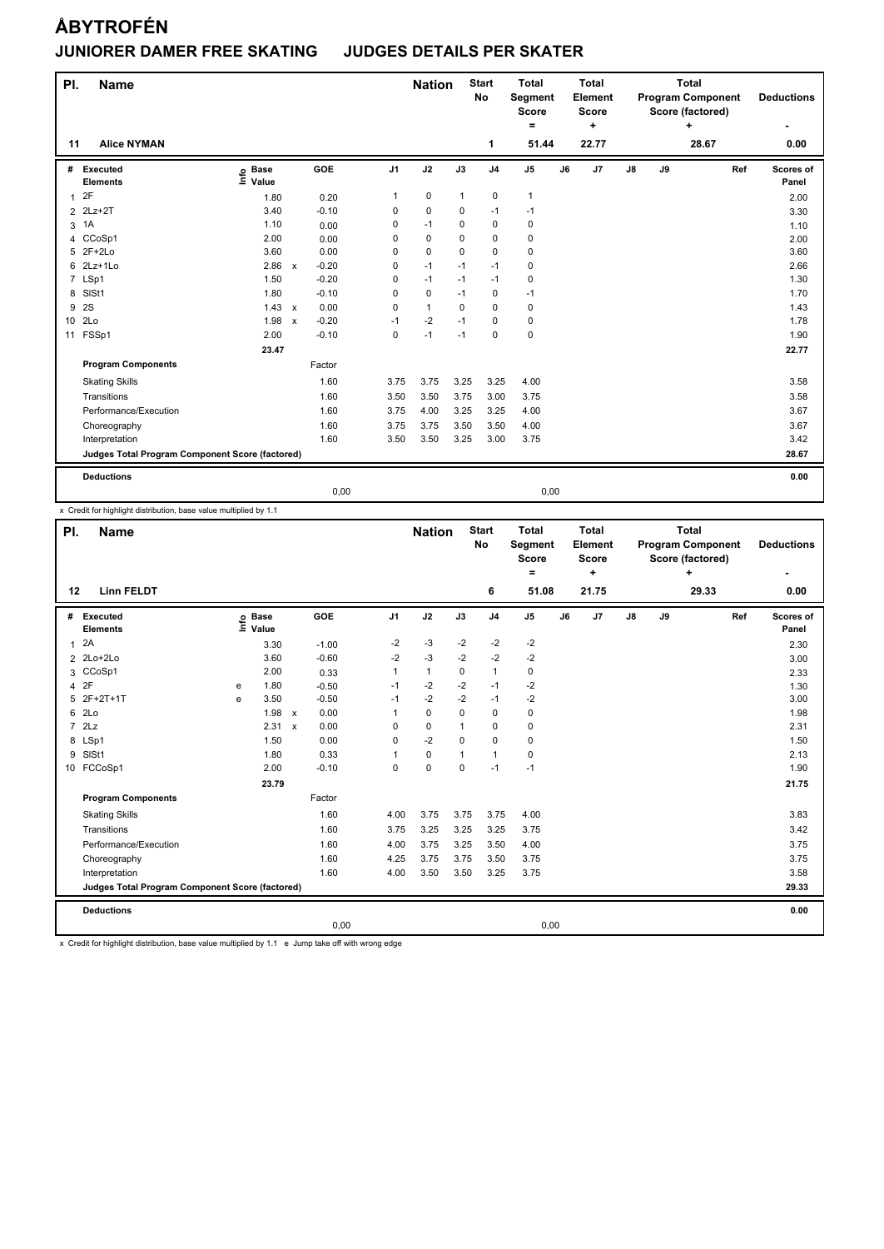| PI.             | <b>Name</b>                                     |                                  |                           |         |                | <b>Nation</b> |              | <b>Start</b><br>No | <b>Total</b><br>Segment<br>Score<br>۰ |    | <b>Total</b><br>Element<br><b>Score</b><br>٠ |               |    | <b>Total</b><br><b>Program Component</b><br>Score (factored)<br>÷ |     | <b>Deductions</b>  |
|-----------------|-------------------------------------------------|----------------------------------|---------------------------|---------|----------------|---------------|--------------|--------------------|---------------------------------------|----|----------------------------------------------|---------------|----|-------------------------------------------------------------------|-----|--------------------|
| 11              | <b>Alice NYMAN</b>                              |                                  |                           |         |                |               |              | 1                  | 51.44                                 |    | 22.77                                        |               |    | 28.67                                                             |     | 0.00               |
| #               | Executed<br><b>Elements</b>                     | <b>Base</b><br>e Base<br>⊑ Value |                           | GOE     | J <sub>1</sub> | J2            | J3           | J <sub>4</sub>     | J <sub>5</sub>                        | J6 | J <sub>7</sub>                               | $\mathsf{J}8$ | J9 |                                                                   | Ref | Scores of<br>Panel |
| $\mathbf{1}$    | 2F                                              | 1.80                             |                           | 0.20    | 1              | $\pmb{0}$     | $\mathbf{1}$ | 0                  | 1                                     |    |                                              |               |    |                                                                   |     | 2.00               |
|                 | 2 2Lz+2T                                        | 3.40                             |                           | $-0.10$ | 0              | $\mathbf 0$   | 0            | $-1$               | $-1$                                  |    |                                              |               |    |                                                                   |     | 3.30               |
| 3               | 1A                                              | 1.10                             |                           | 0.00    | 0              | $-1$          | 0            | $\mathbf 0$        | 0                                     |    |                                              |               |    |                                                                   |     | 1.10               |
| 4               | CCoSp1                                          | 2.00                             |                           | 0.00    | 0              | $\mathbf 0$   | 0            | 0                  | 0                                     |    |                                              |               |    |                                                                   |     | 2.00               |
| 5               | $2F+2Lo$                                        | 3.60                             |                           | 0.00    | 0              | $\mathbf 0$   | $\mathbf 0$  | $\mathbf 0$        | $\pmb{0}$                             |    |                                              |               |    |                                                                   |     | 3.60               |
| 6               | $2Lz+1Lo$                                       | 2.86                             | $\mathsf{x}$              | $-0.20$ | 0              | $-1$          | $-1$         | $-1$               | $\mathbf 0$                           |    |                                              |               |    |                                                                   |     | 2.66               |
|                 | 7 LSp1                                          | 1.50                             |                           | $-0.20$ | 0              | $-1$          | $-1$         | $-1$               | 0                                     |    |                                              |               |    |                                                                   |     | 1.30               |
| 8               | SISt1                                           | 1.80                             |                           | $-0.10$ | 0              | $\mathbf 0$   | $-1$         | $\mathbf 0$        | $-1$                                  |    |                                              |               |    |                                                                   |     | 1.70               |
| 9               | 2S                                              | 1.43                             | $\mathsf{x}$              | 0.00    | 0              | $\mathbf{1}$  | $\Omega$     | $\mathbf 0$        | 0                                     |    |                                              |               |    |                                                                   |     | 1.43               |
| 10 <sup>1</sup> | 2Lo                                             | 1.98                             | $\boldsymbol{\mathsf{x}}$ | $-0.20$ | $-1$           | $-2$          | $-1$         | $\mathbf 0$        | $\pmb{0}$                             |    |                                              |               |    |                                                                   |     | 1.78               |
| 11              | FSSp1                                           | 2.00                             |                           | $-0.10$ | $\mathbf 0$    | $-1$          | $-1$         | $\mathbf 0$        | $\mathbf 0$                           |    |                                              |               |    |                                                                   |     | 1.90               |
|                 |                                                 | 23.47                            |                           |         |                |               |              |                    |                                       |    |                                              |               |    |                                                                   |     | 22.77              |
|                 | <b>Program Components</b>                       |                                  |                           | Factor  |                |               |              |                    |                                       |    |                                              |               |    |                                                                   |     |                    |
|                 | <b>Skating Skills</b>                           |                                  |                           | 1.60    | 3.75           | 3.75          | 3.25         | 3.25               | 4.00                                  |    |                                              |               |    |                                                                   |     | 3.58               |
|                 | Transitions                                     |                                  |                           | 1.60    | 3.50           | 3.50          | 3.75         | 3.00               | 3.75                                  |    |                                              |               |    |                                                                   |     | 3.58               |
|                 | Performance/Execution                           |                                  |                           | 1.60    | 3.75           | 4.00          | 3.25         | 3.25               | 4.00                                  |    |                                              |               |    |                                                                   |     | 3.67               |
|                 | Choreography                                    |                                  |                           | 1.60    | 3.75           | 3.75          | 3.50         | 3.50               | 4.00                                  |    |                                              |               |    |                                                                   |     | 3.67               |
|                 | Interpretation                                  |                                  |                           | 1.60    | 3.50           | 3.50          | 3.25         | 3.00               | 3.75                                  |    |                                              |               |    |                                                                   |     | 3.42               |
|                 | Judges Total Program Component Score (factored) |                                  |                           |         |                |               |              |                    |                                       |    |                                              |               |    |                                                                   |     | 28.67              |
|                 | <b>Deductions</b>                               |                                  |                           |         |                |               |              |                    |                                       |    |                                              |               |    |                                                                   |     | 0.00               |
|                 |                                                 |                                  |                           | 0.00    |                |               |              |                    | 0.00                                  |    |                                              |               |    |                                                                   |     |                    |

x Credit for highlight distribution, base value multiplied by 1.1

| PI.            | <b>Name</b>                                     |   |                                  |              |         |                | <b>Nation</b> |              | <b>Start</b><br><b>No</b> | <b>Total</b><br>Segment<br><b>Score</b><br>Ξ. |    | <b>Total</b><br>Element<br><b>Score</b><br>٠ |               |    | <b>Total</b><br><b>Program Component</b><br>Score (factored)<br>÷ |     | <b>Deductions</b>  |
|----------------|-------------------------------------------------|---|----------------------------------|--------------|---------|----------------|---------------|--------------|---------------------------|-----------------------------------------------|----|----------------------------------------------|---------------|----|-------------------------------------------------------------------|-----|--------------------|
| 12             | <b>Linn FELDT</b>                               |   |                                  |              |         |                |               |              | 6                         | 51.08                                         |    | 21.75                                        |               |    | 29.33                                                             |     | 0.00               |
| #              | Executed<br><b>Elements</b>                     |   | <b>Base</b><br>e Base<br>⊆ Value | GOE          |         | J <sub>1</sub> | J2            | J3           | J <sub>4</sub>            | J5                                            | J6 | J7                                           | $\mathsf{J}8$ | J9 |                                                                   | Ref | Scores of<br>Panel |
| $\mathbf{1}$   | 2A                                              |   | 3.30                             |              | $-1.00$ | -2             | $-3$          | $-2$         | $-2$                      | $-2$                                          |    |                                              |               |    |                                                                   |     | 2.30               |
|                | 2 2Lo+2Lo                                       |   | 3.60                             |              | $-0.60$ | $-2$           | $-3$          | $-2$         | $-2$                      | $-2$                                          |    |                                              |               |    |                                                                   |     | 3.00               |
|                | 3 CCoSp1                                        |   | 2.00                             |              | 0.33    | 1              | $\mathbf{1}$  | $\Omega$     | $\mathbf{1}$              | $\mathbf 0$                                   |    |                                              |               |    |                                                                   |     | 2.33               |
| 4              | 2F                                              | e | 1.80                             |              | $-0.50$ | $-1$           | $-2$          | $-2$         | $-1$                      | $-2$                                          |    |                                              |               |    |                                                                   |     | 1.30               |
| 5              | 2F+2T+1T                                        | е | 3.50                             |              | $-0.50$ | $-1$           | $-2$          | $-2$         | $-1$                      | $-2$                                          |    |                                              |               |    |                                                                   |     | 3.00               |
| 6              | 2Lo                                             |   | 1.98                             | $\mathsf{x}$ | 0.00    | 1              | $\Omega$      | $\Omega$     | $\mathbf 0$               | $\mathbf 0$                                   |    |                                              |               |    |                                                                   |     | 1.98               |
| $\overline{7}$ | 2Lz                                             |   | 2.31                             | $\mathsf{x}$ | 0.00    | 0              | $\mathbf 0$   | $\mathbf{1}$ | $\mathbf 0$               | $\mathbf 0$                                   |    |                                              |               |    |                                                                   |     | 2.31               |
| 8              | LSp1                                            |   | 1.50                             |              | 0.00    | 0              | $-2$          | $\Omega$     | $\mathbf 0$               | $\pmb{0}$                                     |    |                                              |               |    |                                                                   |     | 1.50               |
| 9              | SISt1                                           |   | 1.80                             |              | 0.33    |                | $\mathbf 0$   | $\mathbf{1}$ | $\mathbf{1}$              | $\pmb{0}$                                     |    |                                              |               |    |                                                                   |     | 2.13               |
|                | 10 FCCoSp1                                      |   | 2.00                             |              | $-0.10$ | 0              | $\mathbf 0$   | $\mathbf 0$  | $-1$                      | $-1$                                          |    |                                              |               |    |                                                                   |     | 1.90               |
|                |                                                 |   | 23.79                            |              |         |                |               |              |                           |                                               |    |                                              |               |    |                                                                   |     | 21.75              |
|                | <b>Program Components</b>                       |   |                                  | Factor       |         |                |               |              |                           |                                               |    |                                              |               |    |                                                                   |     |                    |
|                | <b>Skating Skills</b>                           |   |                                  |              | 1.60    | 4.00           | 3.75          | 3.75         | 3.75                      | 4.00                                          |    |                                              |               |    |                                                                   |     | 3.83               |
|                | Transitions                                     |   |                                  |              | 1.60    | 3.75           | 3.25          | 3.25         | 3.25                      | 3.75                                          |    |                                              |               |    |                                                                   |     | 3.42               |
|                | Performance/Execution                           |   |                                  |              | 1.60    | 4.00           | 3.75          | 3.25         | 3.50                      | 4.00                                          |    |                                              |               |    |                                                                   |     | 3.75               |
|                | Choreography                                    |   |                                  |              | 1.60    | 4.25           | 3.75          | 3.75         | 3.50                      | 3.75                                          |    |                                              |               |    |                                                                   |     | 3.75               |
|                | Interpretation                                  |   |                                  |              | 1.60    | 4.00           | 3.50          | 3.50         | 3.25                      | 3.75                                          |    |                                              |               |    |                                                                   |     | 3.58               |
|                | Judges Total Program Component Score (factored) |   |                                  |              |         |                |               |              |                           |                                               |    |                                              |               |    |                                                                   |     | 29.33              |
|                | <b>Deductions</b>                               |   |                                  |              |         |                |               |              |                           |                                               |    |                                              |               |    |                                                                   |     | 0.00               |
|                |                                                 |   |                                  |              | 0,00    |                |               |              |                           | 0,00                                          |    |                                              |               |    |                                                                   |     |                    |

x Credit for highlight distribution, base value multiplied by 1.1 e Jump take off with wrong edge